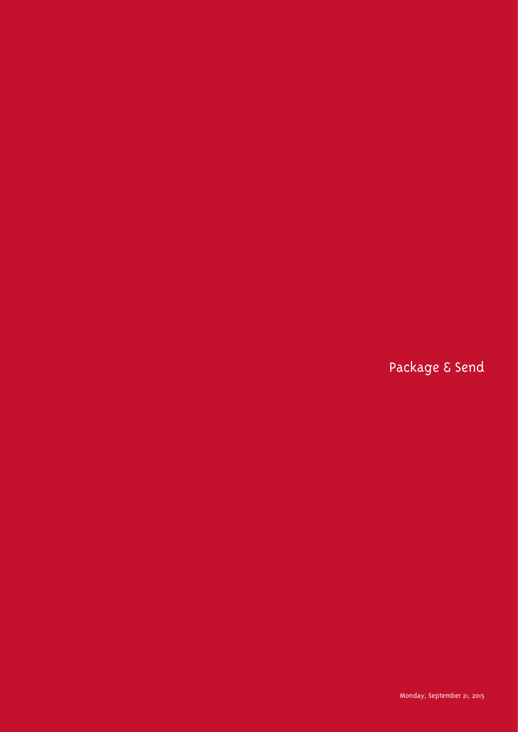Package & Send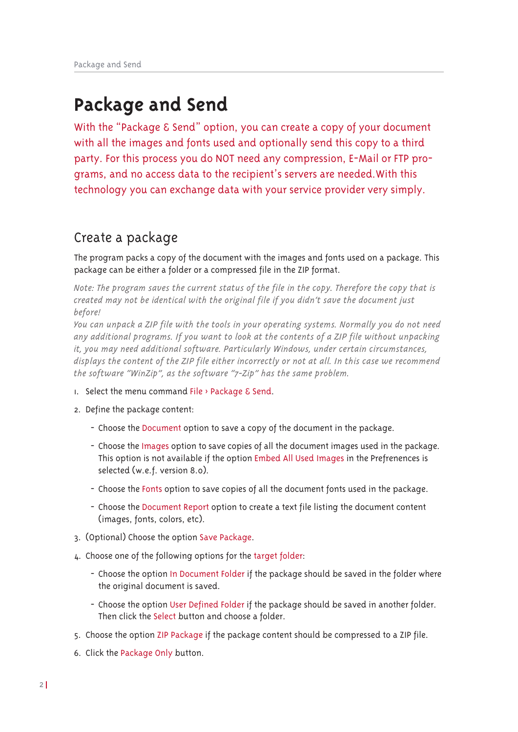# **Package and Send**

With the "Package & Send" option, you can create a copy of your document with all the images and fonts used and optionally send this copy to a third party. For this process you do NOT need any compression, E-Mail or FTP programs, and no access data to the recipient's servers are needed.With this technology you can exchange data with your service provider very simply.

### Create a package

The program packs a copy of the document with the images and fonts used on a package. This package can be either a folder or a compressed file in the ZIP format.

*Note: The program saves the current status of the file in the copy. Therefore the copy that is created may not be identical with the original file if you didn't save the document just before!*

*You can unpack a ZIP file with the tools in your operating systems. Normally you do not need any additional programs. If you want to look at the contents of a ZIP file without unpacking it, you may need additional software. Particularly Windows, under certain circumstances, displays the content of the ZIP file either incorrectly or not at all. In this case we recommend the software "WinZip", as the software "7-Zip" has the same problem.*

- 1. Select the menu command File  $\rightarrow$  Package & Send.
- 2. Define the package content:
	- Choose the Document option to save a copy of the document in the package.
	- Choose the Images option to save copies of all the document images used in the package. This option is not available if the option Embed All Used Images in the Prefrenences is selected (w.e.f. version 8.0).
	- Choose the Fonts option to save copies of all the document fonts used in the package.
	- Choose the Document Report option to create a text file listing the document content (images, fonts, colors, etc).
- 3. (Optional) Choose the option Save Package.
- 4. Choose one of the following options for the target folder:
	- Choose the option In Document Folder if the package should be saved in the folder where the original document is saved.
	- Choose the option User Defined Folder if the package should be saved in another folder. Then click the Select button and choose a folder.
- 5. Choose the option ZIP Package if the package content should be compressed to a ZIP file.
- 6. Click the Package Only button.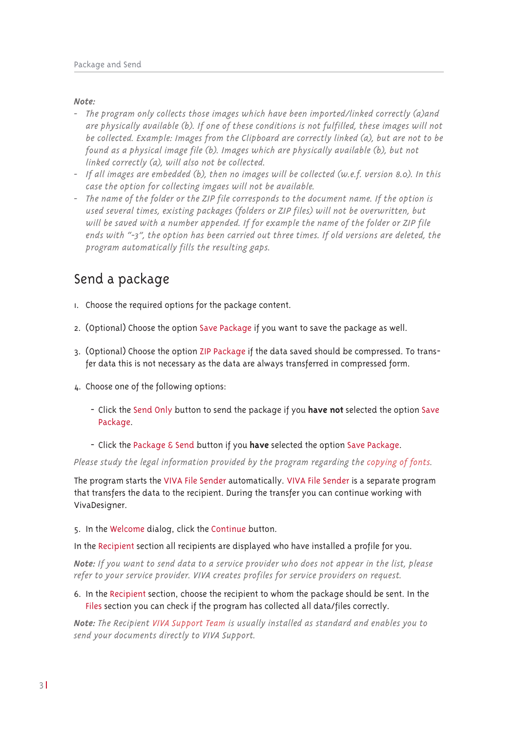### *Note:*

- *- The program only collects those images which have been imported/linked correctly (a)and are physically available (b). If one of these conditions is not fulfilled, these images will not be collected. Example: Images from the Clipboard are correctly linked (a), but are not to be found as a physical image file (b). Images which are physically available (b), but not linked correctly (a), will also not be collected.*
- *- If all images are embedded (b), then no images will be collected (w.e.f. version 8.0). In this case the option for collecting imgaes will not be available.*
- *- The name of the folder or the ZIP file corresponds to the document name. If the option is used several times, existing packages (folders or ZIP files) will not be overwritten, but will be saved with a number appended. If for example the name of the folder or ZIP file ends with "-3", the option has been carried out three times. If old versions are deleted, the program automatically fills the resulting gaps.*

# Send a package

- 1. Choose the required options for the package content.
- 2. (Optional) Choose the option Save Package if you want to save the package as well.
- 3. (Optional) Choose the option ZIP Package if the data saved should be compressed. To transfer data this is not necessary as the data are always transferred in compressed form.
- 4. Choose one of the following options:
	- Click the Send Only button to send the package if you **have not** selected the option Save Package.
	- Click the Package & Send button if you **have** selected the option Save Package.

*Please study the legal information provided by the program regarding the copying of fonts.*

The program starts the VIVA File Sender automatically. VIVA File Sender is a separate program that transfers the data to the recipient. During the transfer you can continue working with VivaDesigner.

#### 5. In the Welcome dialog, click the Continue button.

In the Recipient section all recipients are displayed who have installed a profile for you.

Note: If you want to send data to a service provider who does not appear in the list, please *refer to your service provider. VIVA creates profiles for service providers on request.*

6. In the Recipient section, choose the recipient to whom the package should be sent. In the Files section you can check if the program has collected all data/files correctly.

*Note: The Recipient VIVA Support Team is usually installed as standard and enables you to send your documents directly to VIVA Support.*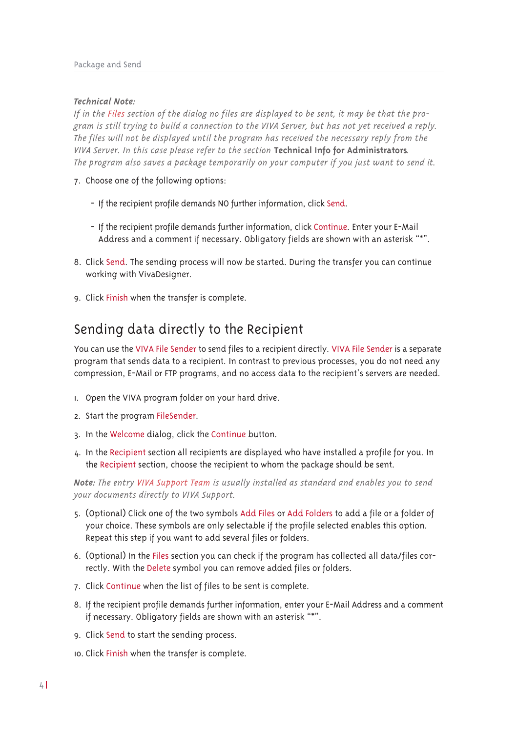### *Technical Note:*

If in the Files section of the dialog no files are displayed to be sent, it may be that the program is still trying to build a connection to the VIVA Server, but has not yet received a reply. *The files will not be displayed until the program has received the necessary reply from the VIVA Server. In this case please refer to the section* **Technical Info for Administrators***. The program also saves a package temporarily on your computer if you just want to send it.*

- 7. Choose one of the following options:
	- If the recipient profile demands NO further information, click Send.
	- If the recipient profile demands further information, click Continue. Enter your E-Mail Address and a comment if necessary. Obligatory fields are shown with an asterisk "\*".
- 8. Click Send. The sending process will now be started. During the transfer you can continue working with VivaDesigner.
- 9. Click Finish when the transfer is complete.

# Sending data directly to the Recipient

You can use the VIVA File Sender to send files to a recipient directly. VIVA File Sender is a separate program that sends data to a recipient. In contrast to previous processes, you do not need any compression, E-Mail or FTP programs, and no access data to the recipient's servers are needed.

- 1. Open the VIVA program folder on your hard drive.
- 2. Start the program FileSender.
- 3. In the Welcome dialog, click the Continue button.
- 4. In the Recipient section all recipients are displayed who have installed a profile for you. In the Recipient section, choose the recipient to whom the package should be sent.

*Note: The entry VIVA Support Team is usually installed as standard and enables you to send your documents directly to VIVA Support.*

- 5. (Optional) Click one of the two symbols Add Files or Add Folders to add a file or a folder of your choice. These symbols are only selectable if the profile selected enables this option. Repeat this step if you want to add several files or folders.
- 6. (Optional) In the Files section you can check if the program has collected all data/files correctly. With the Delete symbol you can remove added files or folders.
- 7. Click Continue when the list of files to be sent is complete.
- 8. If the recipient profile demands further information, enter your E-Mail Address and a comment if necessary. Obligatory fields are shown with an asterisk "\*".
- 9. Click Send to start the sending process.
- 10. Click Finish when the transfer is complete.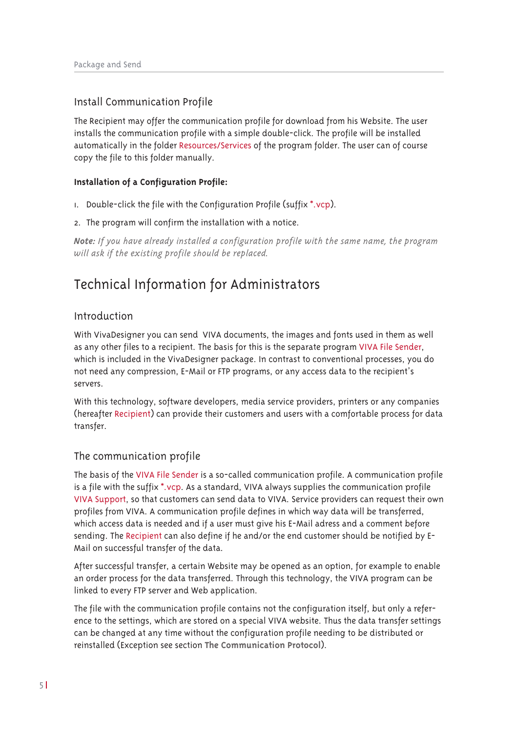### Install Communication Profile

The Recipient may offer the communication profile for download from his Website. The user installs the communication profile with a simple double-click. The profile will be installed automatically in the folder Resources/Services of the program folder. The user can of course copy the file to this folder manually.

### **Installation of a Configuration Profile:**

- 1. Double-click the file with the Configuration Profile (suffix \*.vcp).
- 2. The program will confirm the installation with a notice.

*Note: If you have already installed a configuration profile with the same name, the program will ask if the existing profile should be replaced.*

## Technical Information for Administrators

### Introduction

With VivaDesigner you can send VIVA documents, the images and fonts used in them as well as any other files to a recipient. The basis for this is the separate program VIVA File Sender, which is included in the VivaDesigner package. In contrast to conventional processes, you do not need any compression, E-Mail or FTP programs, or any access data to the recipient's servers.

With this technology, software developers, media service providers, printers or any companies (hereafter Recipient) can provide their customers and users with a comfortable process for data transfer.

### The communication profile

The basis of the VIVA File Sender is a so-called communication profile. A communication profile is a file with the suffix \*.vcp. As a standard, VIVA always supplies the communication profile VIVA Support, so that customers can send data to VIVA. Service providers can request their own profiles from VIVA. A communication profile defines in which way data will be transferred, which access data is needed and if a user must give his E-Mail adress and a comment before sending. The Recipient can also define if he and/or the end customer should be notified by E-Mail on successful transfer of the data.

After successful transfer, a certain Website may be opened as an option, for example to enable an order process for the data transferred. Through this technology, the VIVA program can be linked to every FTP server and Web application.

The file with the communication profile contains not the configuration itself, but only a reference to the settings, which are stored on a special VIVA website. Thus the data transfer settings can be changed at any time without the configuration profile needing to be distributed or reinstalled (Exception see section **The Communication Protocol**).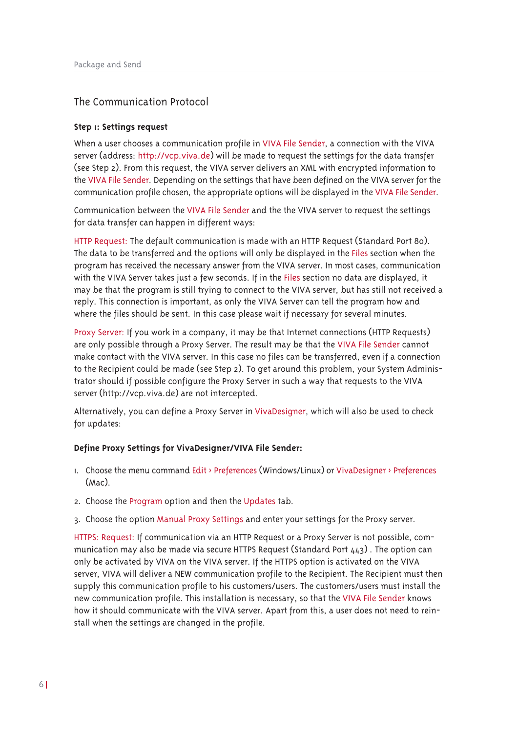### The Communication Protocol

#### **Step 1: Settings request**

When a user chooses a communication profile in VIVA File Sender, a connection with the VIVA server (address: http://vcp.viva.de) will be made to request the settings for the data transfer (see Step 2). From this request, the VIVA server delivers an XML with encrypted information to the VIVA File Sender. Depending on the settings that have been defined on the VIVA server for the communication profile chosen, the appropriate options will be displayed in the VIVA File Sender.

Communication between the VIVA File Sender and the the VIVA server to request the settings for data transfer can happen in different ways:

HTTP Request: The default communication is made with an HTTP Request (Standard Port 80). The data to be transferred and the options will only be displayed in the Files section when the program has received the necessary answer from the VIVA server. In most cases, communication with the VIVA Server takes just a few seconds. If in the Files section no data are displayed, it may be that the program is still trying to connect to the VIVA server, but has still not received a reply. This connection is important, as only the VIVA Server can tell the program how and where the files should be sent. In this case please wait if necessary for several minutes.

Proxy Server: If you work in a company, it may be that Internet connections (HTTP Requests) are only possible through a Proxy Server. The result may be that the VIVA File Sender cannot make contact with the VIVA server. In this case no files can be transferred, even if a connection to the Recipient could be made (see Step 2). To get around this problem, your System Administrator should if possible configure the Proxy Server in such a way that requests to the VIVA server (http://vcp.viva.de) are not intercepted.

Alternatively, you can define a Proxy Server in VivaDesigner, which will also be used to check for updates:

#### **Define Proxy Settings for VivaDesigner/VIVA File Sender:**

- 1. Choose the menu command Edit > Preferences (Windows/Linux) or VivaDesigner > Preferences (Mac).
- 2. Choose the Program option and then the Updates tab.
- 3. Choose the option Manual Proxy Settings and enter your settings for the Proxy server.

HTTPS: Request: If communication via an HTTP Request or a Proxy Server is not possible, communication may also be made via secure HTTPS Request (Standard Port  $443$ ). The option can only be activated by VIVA on the VIVA server. If the HTTPS option is activated on the VIVA server, VIVA will deliver a NEW communication profile to the Recipient. The Recipient must then supply this communication profile to his customers/users. The customers/users must install the new communication profile. This installation is necessary, so that the VIVA File Sender knows how it should communicate with the VIVA server. Apart from this, a user does not need to reinstall when the settings are changed in the profile.